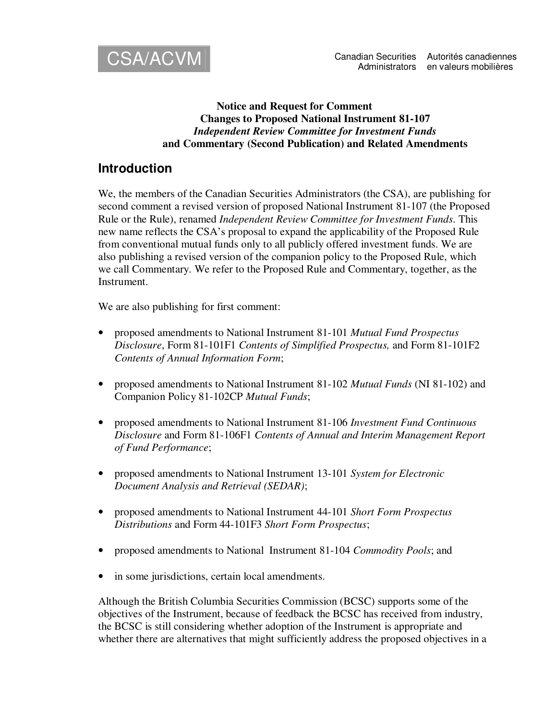

#### **Notice and Request for Comment Changes to Proposed National Instrument 81-107** *Independent Review Committee for Investment Funds* **and Commentary (Second Publication) and Related Amendments**

## **Introduction**

We, the members of the Canadian Securities Administrators (the CSA), are publishing for second comment a revised version of proposed National Instrument 81-107 (the Proposed Rule or the Rule), renamed *Independent Review Committee for Investment Funds*. This new name reflects the CSA's proposal to expand the applicability of the Proposed Rule from conventional mutual funds only to all publicly offered investment funds. We are also publishing a revised version of the companion policy to the Proposed Rule, which we call Commentary. We refer to the Proposed Rule and Commentary, together, as the Instrument.

We are also publishing for first comment:

- proposed amendments to National Instrument 81-101 *Mutual Fund Prospectus Disclosure*, Form 81-101F1 *Contents of Simplified Prospectus,* and Form 81-101F2 *Contents of Annual Information Form*;
- proposed amendments to National Instrument 81-102 *Mutual Funds* (NI 81-102) and Companion Policy 81-102CP *Mutual Funds*;
- proposed amendments to National Instrument 81-106 *Investment Fund Continuous Disclosure* and Form 81-106F1 *Contents of Annual and Interim Management Report of Fund Performance*;
- proposed amendments to National Instrument 13-101 *System for Electronic Document Analysis and Retrieval (SEDAR)*;
- proposed amendments to National Instrument 44-101 *Short Form Prospectus Distributions* and Form 44-101F3 *Short Form Prospectus*;
- proposed amendments to National Instrument 81-104 *Commodity Pools*; and
- in some jurisdictions, certain local amendments.

Although the British Columbia Securities Commission (BCSC) supports some of the objectives of the Instrument, because of feedback the BCSC has received from industry, the BCSC is still considering whether adoption of the Instrument is appropriate and whether there are alternatives that might sufficiently address the proposed objectives in a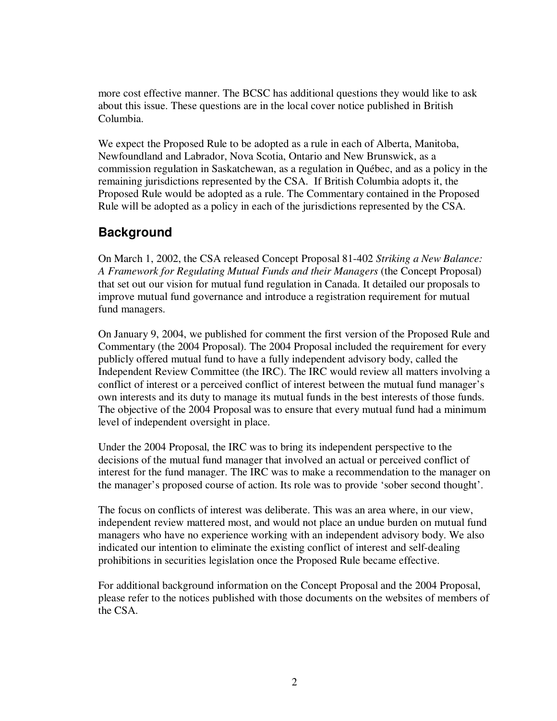more cost effective manner. The BCSC has additional questions they would like to ask about this issue. These questions are in the local cover notice published in British Columbia.

We expect the Proposed Rule to be adopted as a rule in each of Alberta, Manitoba, Newfoundland and Labrador, Nova Scotia, Ontario and New Brunswick, as a commission regulation in Saskatchewan, as a regulation in Québec, and as a policy in the remaining jurisdictions represented by the CSA. If British Columbia adopts it, the Proposed Rule would be adopted as a rule. The Commentary contained in the Proposed Rule will be adopted as a policy in each of the jurisdictions represented by the CSA.

## **Background**

On March 1, 2002, the CSA released Concept Proposal 81-402 *Striking a New Balance: A Framework for Regulating Mutual Funds and their Managers* (the Concept Proposal) that set out our vision for mutual fund regulation in Canada. It detailed our proposals to improve mutual fund governance and introduce a registration requirement for mutual fund managers.

On January 9, 2004, we published for comment the first version of the Proposed Rule and Commentary (the 2004 Proposal). The 2004 Proposal included the requirement for every publicly offered mutual fund to have a fully independent advisory body, called the Independent Review Committee (the IRC). The IRC would review all matters involving a conflict of interest or a perceived conflict of interest between the mutual fund manager's own interests and its duty to manage its mutual funds in the best interests of those funds. The objective of the 2004 Proposal was to ensure that every mutual fund had a minimum level of independent oversight in place.

Under the 2004 Proposal, the IRC was to bring its independent perspective to the decisions of the mutual fund manager that involved an actual or perceived conflict of interest for the fund manager. The IRC was to make a recommendation to the manager on the manager's proposed course of action. Its role was to provide 'sober second thought'.

The focus on conflicts of interest was deliberate. This was an area where, in our view, independent review mattered most, and would not place an undue burden on mutual fund managers who have no experience working with an independent advisory body. We also indicated our intention to eliminate the existing conflict of interest and self-dealing prohibitions in securities legislation once the Proposed Rule became effective.

For additional background information on the Concept Proposal and the 2004 Proposal, please refer to the notices published with those documents on the websites of members of the CSA.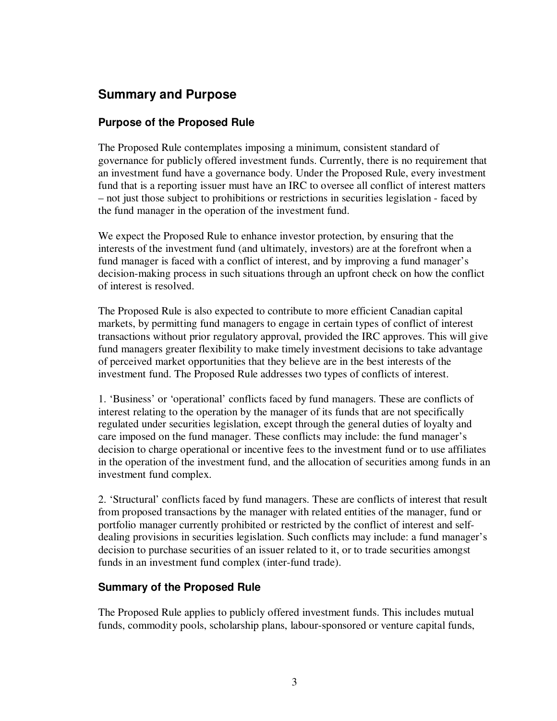# **Summary and Purpose**

### **Purpose of the Proposed Rule**

The Proposed Rule contemplates imposing a minimum, consistent standard of governance for publicly offered investment funds. Currently, there is no requirement that an investment fund have a governance body. Under the Proposed Rule, every investment fund that is a reporting issuer must have an IRC to oversee all conflict of interest matters – not just those subject to prohibitions or restrictions in securities legislation - faced by the fund manager in the operation of the investment fund.

We expect the Proposed Rule to enhance investor protection, by ensuring that the interests of the investment fund (and ultimately, investors) are at the forefront when a fund manager is faced with a conflict of interest, and by improving a fund manager's decision-making process in such situations through an upfront check on how the conflict of interest is resolved.

The Proposed Rule is also expected to contribute to more efficient Canadian capital markets, by permitting fund managers to engage in certain types of conflict of interest transactions without prior regulatory approval, provided the IRC approves. This will give fund managers greater flexibility to make timely investment decisions to take advantage of perceived market opportunities that they believe are in the best interests of the investment fund. The Proposed Rule addresses two types of conflicts of interest.

1. 'Business' or 'operational' conflicts faced by fund managers. These are conflicts of interest relating to the operation by the manager of its funds that are not specifically regulated under securities legislation, except through the general duties of loyalty and care imposed on the fund manager. These conflicts may include: the fund manager's decision to charge operational or incentive fees to the investment fund or to use affiliates in the operation of the investment fund, and the allocation of securities among funds in an investment fund complex.

2. 'Structural' conflicts faced by fund managers. These are conflicts of interest that result from proposed transactions by the manager with related entities of the manager, fund or portfolio manager currently prohibited or restricted by the conflict of interest and selfdealing provisions in securities legislation. Such conflicts may include: a fund manager's decision to purchase securities of an issuer related to it, or to trade securities amongst funds in an investment fund complex (inter-fund trade).

### **Summary of the Proposed Rule**

The Proposed Rule applies to publicly offered investment funds. This includes mutual funds, commodity pools, scholarship plans, labour-sponsored or venture capital funds,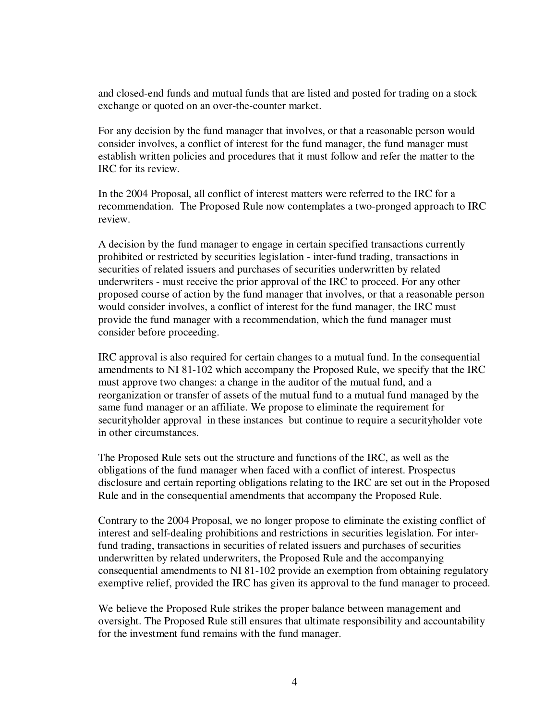and closed-end funds and mutual funds that are listed and posted for trading on a stock exchange or quoted on an over-the-counter market.

For any decision by the fund manager that involves, or that a reasonable person would consider involves, a conflict of interest for the fund manager, the fund manager must establish written policies and procedures that it must follow and refer the matter to the IRC for its review.

In the 2004 Proposal, all conflict of interest matters were referred to the IRC for a recommendation. The Proposed Rule now contemplates a two-pronged approach to IRC review.

A decision by the fund manager to engage in certain specified transactions currently prohibited or restricted by securities legislation - inter-fund trading, transactions in securities of related issuers and purchases of securities underwritten by related underwriters - must receive the prior approval of the IRC to proceed. For any other proposed course of action by the fund manager that involves, or that a reasonable person would consider involves, a conflict of interest for the fund manager, the IRC must provide the fund manager with a recommendation, which the fund manager must consider before proceeding.

IRC approval is also required for certain changes to a mutual fund. In the consequential amendments to NI 81-102 which accompany the Proposed Rule, we specify that the IRC must approve two changes: a change in the auditor of the mutual fund, and a reorganization or transfer of assets of the mutual fund to a mutual fund managed by the same fund manager or an affiliate. We propose to eliminate the requirement for securityholder approval in these instances but continue to require a securityholder vote in other circumstances.

The Proposed Rule sets out the structure and functions of the IRC, as well as the obligations of the fund manager when faced with a conflict of interest. Prospectus disclosure and certain reporting obligations relating to the IRC are set out in the Proposed Rule and in the consequential amendments that accompany the Proposed Rule.

Contrary to the 2004 Proposal, we no longer propose to eliminate the existing conflict of interest and self-dealing prohibitions and restrictions in securities legislation. For interfund trading, transactions in securities of related issuers and purchases of securities underwritten by related underwriters, the Proposed Rule and the accompanying consequential amendments to NI 81-102 provide an exemption from obtaining regulatory exemptive relief, provided the IRC has given its approval to the fund manager to proceed.

We believe the Proposed Rule strikes the proper balance between management and oversight. The Proposed Rule still ensures that ultimate responsibility and accountability for the investment fund remains with the fund manager.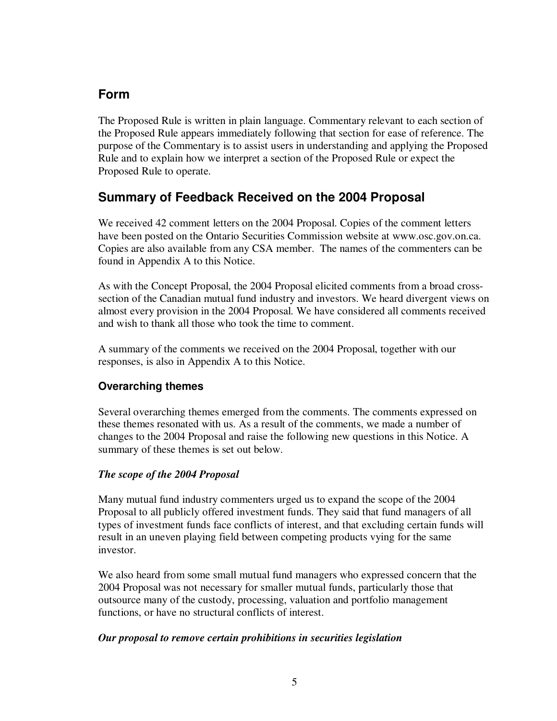# **Form**

The Proposed Rule is written in plain language. Commentary relevant to each section of the Proposed Rule appears immediately following that section for ease of reference. The purpose of the Commentary is to assist users in understanding and applying the Proposed Rule and to explain how we interpret a section of the Proposed Rule or expect the Proposed Rule to operate.

# **Summary of Feedback Received on the 2004 Proposal**

We received 42 comment letters on the 2004 Proposal. Copies of the comment letters have been posted on the Ontario Securities Commission website at www.osc.gov.on.ca. Copies are also available from any CSA member. The names of the commenters can be found in Appendix A to this Notice.

As with the Concept Proposal, the 2004 Proposal elicited comments from a broad crosssection of the Canadian mutual fund industry and investors. We heard divergent views on almost every provision in the 2004 Proposal. We have considered all comments received and wish to thank all those who took the time to comment.

A summary of the comments we received on the 2004 Proposal, together with our responses, is also in Appendix A to this Notice.

## **Overarching themes**

Several overarching themes emerged from the comments. The comments expressed on these themes resonated with us. As a result of the comments, we made a number of changes to the 2004 Proposal and raise the following new questions in this Notice. A summary of these themes is set out below.

### *The scope of the 2004 Proposal*

Many mutual fund industry commenters urged us to expand the scope of the 2004 Proposal to all publicly offered investment funds. They said that fund managers of all types of investment funds face conflicts of interest, and that excluding certain funds will result in an uneven playing field between competing products vying for the same investor.

We also heard from some small mutual fund managers who expressed concern that the 2004 Proposal was not necessary for smaller mutual funds, particularly those that outsource many of the custody, processing, valuation and portfolio management functions, or have no structural conflicts of interest.

### *Our proposal to remove certain prohibitions in securities legislation*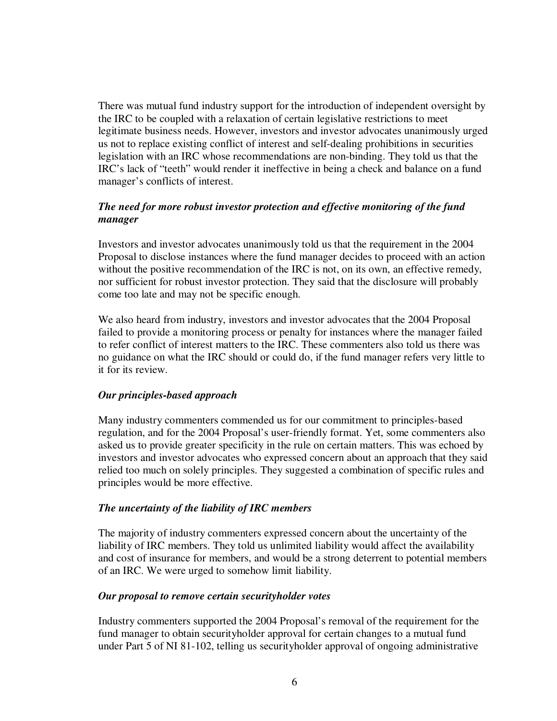There was mutual fund industry support for the introduction of independent oversight by the IRC to be coupled with a relaxation of certain legislative restrictions to meet legitimate business needs. However, investors and investor advocates unanimously urged us not to replace existing conflict of interest and self-dealing prohibitions in securities legislation with an IRC whose recommendations are non-binding. They told us that the IRC's lack of "teeth" would render it ineffective in being a check and balance on a fund manager's conflicts of interest.

#### *The need for more robust investor protection and effective monitoring of the fund manager*

Investors and investor advocates unanimously told us that the requirement in the 2004 Proposal to disclose instances where the fund manager decides to proceed with an action without the positive recommendation of the IRC is not, on its own, an effective remedy, nor sufficient for robust investor protection. They said that the disclosure will probably come too late and may not be specific enough.

We also heard from industry, investors and investor advocates that the 2004 Proposal failed to provide a monitoring process or penalty for instances where the manager failed to refer conflict of interest matters to the IRC. These commenters also told us there was no guidance on what the IRC should or could do, if the fund manager refers very little to it for its review.

#### *Our principles-based approach*

Many industry commenters commended us for our commitment to principles-based regulation, and for the 2004 Proposal's user-friendly format. Yet, some commenters also asked us to provide greater specificity in the rule on certain matters. This was echoed by investors and investor advocates who expressed concern about an approach that they said relied too much on solely principles. They suggested a combination of specific rules and principles would be more effective.

#### *The uncertainty of the liability of IRC members*

The majority of industry commenters expressed concern about the uncertainty of the liability of IRC members. They told us unlimited liability would affect the availability and cost of insurance for members, and would be a strong deterrent to potential members of an IRC. We were urged to somehow limit liability.

#### *Our proposal to remove certain securityholder votes*

Industry commenters supported the 2004 Proposal's removal of the requirement for the fund manager to obtain securityholder approval for certain changes to a mutual fund under Part 5 of NI 81-102, telling us securityholder approval of ongoing administrative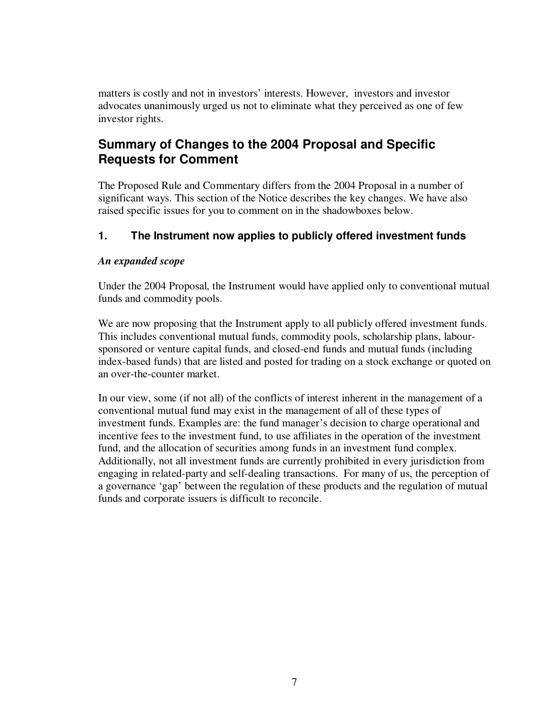matters is costly and not in investors' interests. However, investors and investor advocates unanimously urged us not to eliminate what they perceived as one of few investor rights.

# **Summary of Changes to the 2004 Proposal and Specific Requests for Comment**

The Proposed Rule and Commentary differs from the 2004 Proposal in a number of significant ways. This section of the Notice describes the key changes. We have also raised specific issues for you to comment on in the shadowboxes below.

## **1. The Instrument now applies to publicly offered investment funds**

### *An expanded scope*

Under the 2004 Proposal, the Instrument would have applied only to conventional mutual funds and commodity pools.

We are now proposing that the Instrument apply to all publicly offered investment funds. This includes conventional mutual funds, commodity pools, scholarship plans, laboursponsored or venture capital funds, and closed-end funds and mutual funds (including index-based funds) that are listed and posted for trading on a stock exchange or quoted on an over-the-counter market.

In our view, some (if not all) of the conflicts of interest inherent in the management of a conventional mutual fund may exist in the management of all of these types of investment funds. Examples are: the fund manager's decision to charge operational and incentive fees to the investment fund, to use affiliates in the operation of the investment fund, and the allocation of securities among funds in an investment fund complex. Additionally, not all investment funds are currently prohibited in every jurisdiction from engaging in related-party and self-dealing transactions. For many of us, the perception of a governance 'gap' between the regulation of these products and the regulation of mutual funds and corporate issuers is difficult to reconcile.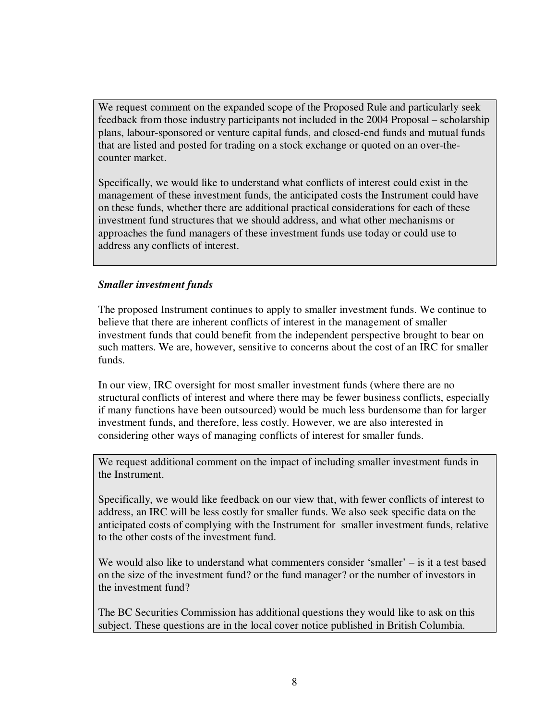We request comment on the expanded scope of the Proposed Rule and particularly seek feedback from those industry participants not included in the 2004 Proposal – scholarship plans, labour-sponsored or venture capital funds, and closed-end funds and mutual funds that are listed and posted for trading on a stock exchange or quoted on an over-thecounter market.

Specifically, we would like to understand what conflicts of interest could exist in the management of these investment funds, the anticipated costs the Instrument could have on these funds, whether there are additional practical considerations for each of these investment fund structures that we should address, and what other mechanisms or approaches the fund managers of these investment funds use today or could use to address any conflicts of interest.

#### *Smaller investment funds*

The proposed Instrument continues to apply to smaller investment funds. We continue to believe that there are inherent conflicts of interest in the management of smaller investment funds that could benefit from the independent perspective brought to bear on such matters. We are, however, sensitive to concerns about the cost of an IRC for smaller funds.

In our view, IRC oversight for most smaller investment funds (where there are no structural conflicts of interest and where there may be fewer business conflicts, especially if many functions have been outsourced) would be much less burdensome than for larger investment funds, and therefore, less costly. However, we are also interested in considering other ways of managing conflicts of interest for smaller funds.

We request additional comment on the impact of including smaller investment funds in the Instrument.

Specifically, we would like feedback on our view that, with fewer conflicts of interest to address, an IRC will be less costly for smaller funds. We also seek specific data on the anticipated costs of complying with the Instrument for smaller investment funds, relative to the other costs of the investment fund.

We would also like to understand what commenters consider 'smaller' – is it a test based on the size of the investment fund? or the fund manager? or the number of investors in the investment fund?

The BC Securities Commission has additional questions they would like to ask on this subject. These questions are in the local cover notice published in British Columbia.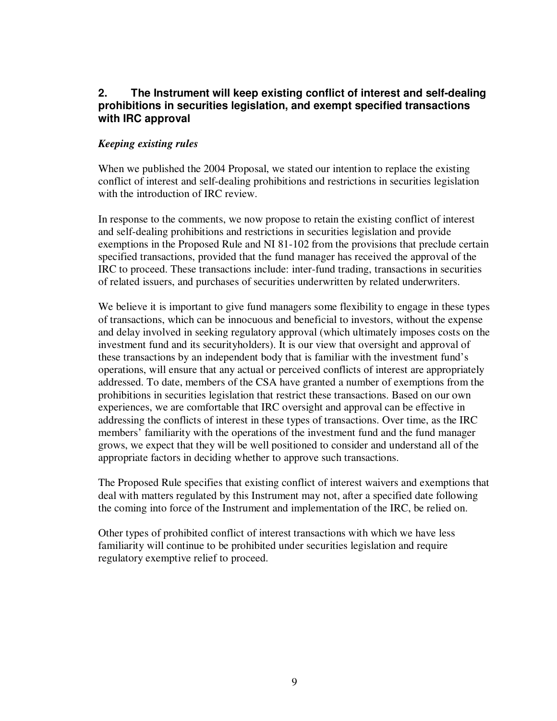### **2. The Instrument will keep existing conflict of interest and self-dealing prohibitions in securities legislation, and exempt specified transactions with IRC approval**

#### *Keeping existing rules*

When we published the 2004 Proposal, we stated our intention to replace the existing conflict of interest and self-dealing prohibitions and restrictions in securities legislation with the introduction of IRC review.

In response to the comments, we now propose to retain the existing conflict of interest and self-dealing prohibitions and restrictions in securities legislation and provide exemptions in the Proposed Rule and NI 81-102 from the provisions that preclude certain specified transactions, provided that the fund manager has received the approval of the IRC to proceed. These transactions include: inter-fund trading, transactions in securities of related issuers, and purchases of securities underwritten by related underwriters.

We believe it is important to give fund managers some flexibility to engage in these types of transactions, which can be innocuous and beneficial to investors, without the expense and delay involved in seeking regulatory approval (which ultimately imposes costs on the investment fund and its securityholders). It is our view that oversight and approval of these transactions by an independent body that is familiar with the investment fund's operations, will ensure that any actual or perceived conflicts of interest are appropriately addressed. To date, members of the CSA have granted a number of exemptions from the prohibitions in securities legislation that restrict these transactions. Based on our own experiences, we are comfortable that IRC oversight and approval can be effective in addressing the conflicts of interest in these types of transactions. Over time, as the IRC members' familiarity with the operations of the investment fund and the fund manager grows, we expect that they will be well positioned to consider and understand all of the appropriate factors in deciding whether to approve such transactions.

The Proposed Rule specifies that existing conflict of interest waivers and exemptions that deal with matters regulated by this Instrument may not, after a specified date following the coming into force of the Instrument and implementation of the IRC, be relied on.

Other types of prohibited conflict of interest transactions with which we have less familiarity will continue to be prohibited under securities legislation and require regulatory exemptive relief to proceed.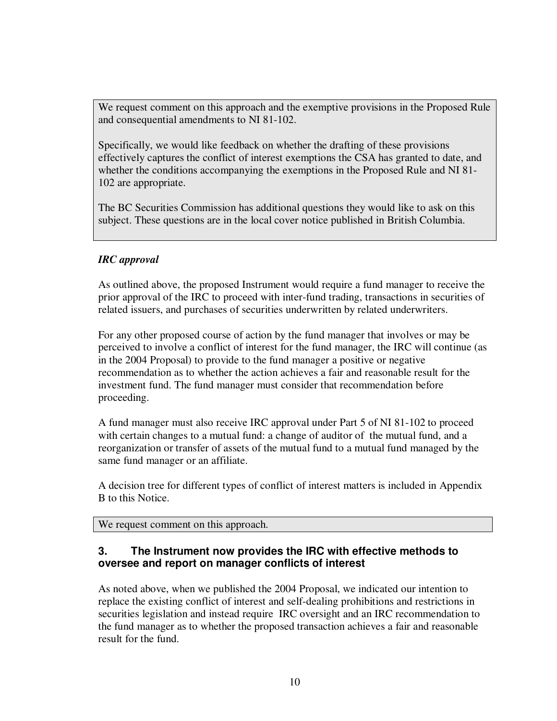We request comment on this approach and the exemptive provisions in the Proposed Rule and consequential amendments to NI 81-102.

Specifically, we would like feedback on whether the drafting of these provisions effectively captures the conflict of interest exemptions the CSA has granted to date, and whether the conditions accompanying the exemptions in the Proposed Rule and NI 81- 102 are appropriate.

The BC Securities Commission has additional questions they would like to ask on this subject. These questions are in the local cover notice published in British Columbia.

#### *IRC approval*

As outlined above, the proposed Instrument would require a fund manager to receive the prior approval of the IRC to proceed with inter-fund trading, transactions in securities of related issuers, and purchases of securities underwritten by related underwriters.

For any other proposed course of action by the fund manager that involves or may be perceived to involve a conflict of interest for the fund manager, the IRC will continue (as in the 2004 Proposal) to provide to the fund manager a positive or negative recommendation as to whether the action achieves a fair and reasonable result for the investment fund. The fund manager must consider that recommendation before proceeding.

A fund manager must also receive IRC approval under Part 5 of NI 81-102 to proceed with certain changes to a mutual fund: a change of auditor of the mutual fund, and a reorganization or transfer of assets of the mutual fund to a mutual fund managed by the same fund manager or an affiliate.

A decision tree for different types of conflict of interest matters is included in Appendix B to this Notice.

We request comment on this approach.

### **3. The Instrument now provides the IRC with effective methods to oversee and report on manager conflicts of interest**

As noted above, when we published the 2004 Proposal, we indicated our intention to replace the existing conflict of interest and self-dealing prohibitions and restrictions in securities legislation and instead require IRC oversight and an IRC recommendation to the fund manager as to whether the proposed transaction achieves a fair and reasonable result for the fund.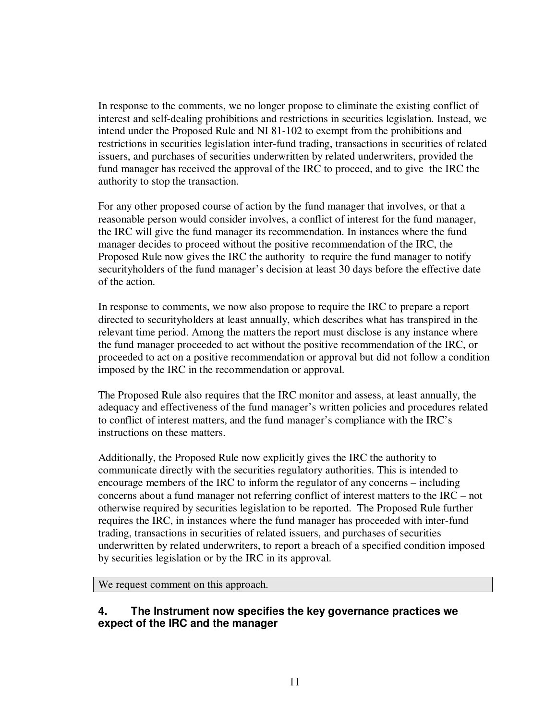In response to the comments, we no longer propose to eliminate the existing conflict of interest and self-dealing prohibitions and restrictions in securities legislation. Instead, we intend under the Proposed Rule and NI 81-102 to exempt from the prohibitions and restrictions in securities legislation inter-fund trading, transactions in securities of related issuers, and purchases of securities underwritten by related underwriters, provided the fund manager has received the approval of the IRC to proceed, and to give the IRC the authority to stop the transaction.

For any other proposed course of action by the fund manager that involves, or that a reasonable person would consider involves, a conflict of interest for the fund manager, the IRC will give the fund manager its recommendation. In instances where the fund manager decides to proceed without the positive recommendation of the IRC, the Proposed Rule now gives the IRC the authority to require the fund manager to notify securityholders of the fund manager's decision at least 30 days before the effective date of the action.

In response to comments, we now also propose to require the IRC to prepare a report directed to securityholders at least annually, which describes what has transpired in the relevant time period. Among the matters the report must disclose is any instance where the fund manager proceeded to act without the positive recommendation of the IRC, or proceeded to act on a positive recommendation or approval but did not follow a condition imposed by the IRC in the recommendation or approval.

The Proposed Rule also requires that the IRC monitor and assess, at least annually, the adequacy and effectiveness of the fund manager's written policies and procedures related to conflict of interest matters, and the fund manager's compliance with the IRC's instructions on these matters.

Additionally, the Proposed Rule now explicitly gives the IRC the authority to communicate directly with the securities regulatory authorities. This is intended to encourage members of the IRC to inform the regulator of any concerns – including concerns about a fund manager not referring conflict of interest matters to the IRC – not otherwise required by securities legislation to be reported. The Proposed Rule further requires the IRC, in instances where the fund manager has proceeded with inter-fund trading, transactions in securities of related issuers, and purchases of securities underwritten by related underwriters, to report a breach of a specified condition imposed by securities legislation or by the IRC in its approval.

We request comment on this approach.

### **4. The Instrument now specifies the key governance practices we expect of the IRC and the manager**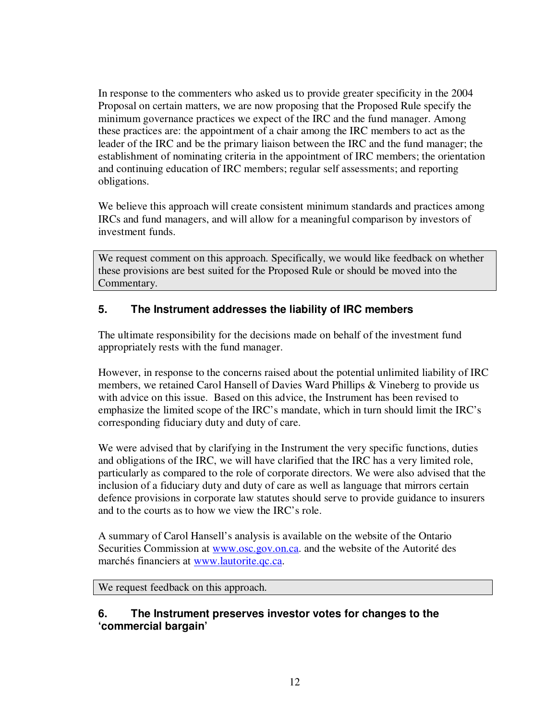In response to the commenters who asked us to provide greater specificity in the 2004 Proposal on certain matters, we are now proposing that the Proposed Rule specify the minimum governance practices we expect of the IRC and the fund manager. Among these practices are: the appointment of a chair among the IRC members to act as the leader of the IRC and be the primary liaison between the IRC and the fund manager; the establishment of nominating criteria in the appointment of IRC members; the orientation and continuing education of IRC members; regular self assessments; and reporting obligations.

We believe this approach will create consistent minimum standards and practices among IRCs and fund managers, and will allow for a meaningful comparison by investors of investment funds.

We request comment on this approach. Specifically, we would like feedback on whether these provisions are best suited for the Proposed Rule or should be moved into the Commentary.

## **5. The Instrument addresses the liability of IRC members**

The ultimate responsibility for the decisions made on behalf of the investment fund appropriately rests with the fund manager.

However, in response to the concerns raised about the potential unlimited liability of IRC members, we retained Carol Hansell of Davies Ward Phillips & Vineberg to provide us with advice on this issue. Based on this advice, the Instrument has been revised to emphasize the limited scope of the IRC's mandate, which in turn should limit the IRC's corresponding fiduciary duty and duty of care.

We were advised that by clarifying in the Instrument the very specific functions, duties and obligations of the IRC, we will have clarified that the IRC has a very limited role, particularly as compared to the role of corporate directors. We were also advised that the inclusion of a fiduciary duty and duty of care as well as language that mirrors certain defence provisions in corporate law statutes should serve to provide guidance to insurers and to the courts as to how we view the IRC's role.

A summary of Carol Hansell's analysis is available on the website of the Ontario Securities Commission at www.osc.gov.on.ca. and the website of the Autorité des marchés financiers at www.lautorite.qc.ca.

We request feedback on this approach.

### **6. The Instrument preserves investor votes for changes to the 'commercial bargain'**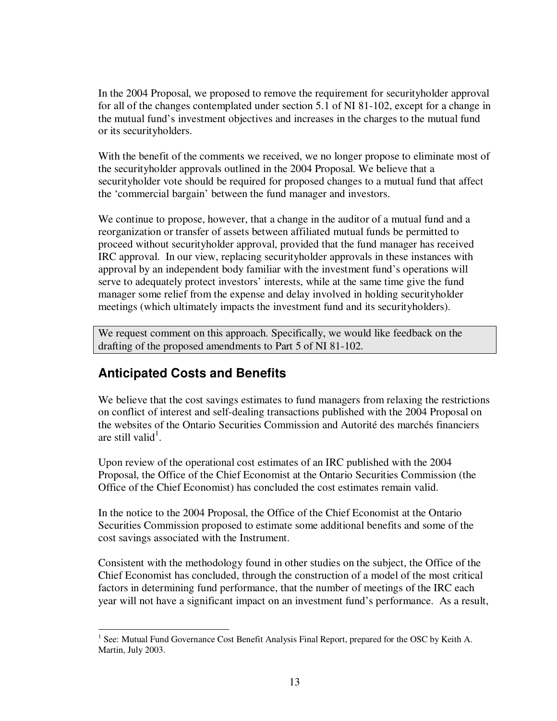In the 2004 Proposal, we proposed to remove the requirement for securityholder approval for all of the changes contemplated under section 5.1 of NI 81-102, except for a change in the mutual fund's investment objectives and increases in the charges to the mutual fund or its securityholders.

With the benefit of the comments we received, we no longer propose to eliminate most of the securityholder approvals outlined in the 2004 Proposal. We believe that a securityholder vote should be required for proposed changes to a mutual fund that affect the 'commercial bargain' between the fund manager and investors.

We continue to propose, however, that a change in the auditor of a mutual fund and a reorganization or transfer of assets between affiliated mutual funds be permitted to proceed without securityholder approval, provided that the fund manager has received IRC approval. In our view, replacing securityholder approvals in these instances with approval by an independent body familiar with the investment fund's operations will serve to adequately protect investors' interests, while at the same time give the fund manager some relief from the expense and delay involved in holding securityholder meetings (which ultimately impacts the investment fund and its securityholders).

We request comment on this approach. Specifically, we would like feedback on the drafting of the proposed amendments to Part 5 of NI 81-102.

## **Anticipated Costs and Benefits**

We believe that the cost savings estimates to fund managers from relaxing the restrictions on conflict of interest and self-dealing transactions published with the 2004 Proposal on the websites of the Ontario Securities Commission and Autorité des marchés financiers are still valid<sup>1</sup>.

Upon review of the operational cost estimates of an IRC published with the 2004 Proposal, the Office of the Chief Economist at the Ontario Securities Commission (the Office of the Chief Economist) has concluded the cost estimates remain valid.

In the notice to the 2004 Proposal, the Office of the Chief Economist at the Ontario Securities Commission proposed to estimate some additional benefits and some of the cost savings associated with the Instrument.

Consistent with the methodology found in other studies on the subject, the Office of the Chief Economist has concluded, through the construction of a model of the most critical factors in determining fund performance, that the number of meetings of the IRC each year will not have a significant impact on an investment fund's performance. As a result,

<sup>&</sup>lt;sup>1</sup> See: Mutual Fund Governance Cost Benefit Analysis Final Report, prepared for the OSC by Keith A. Martin, July 2003.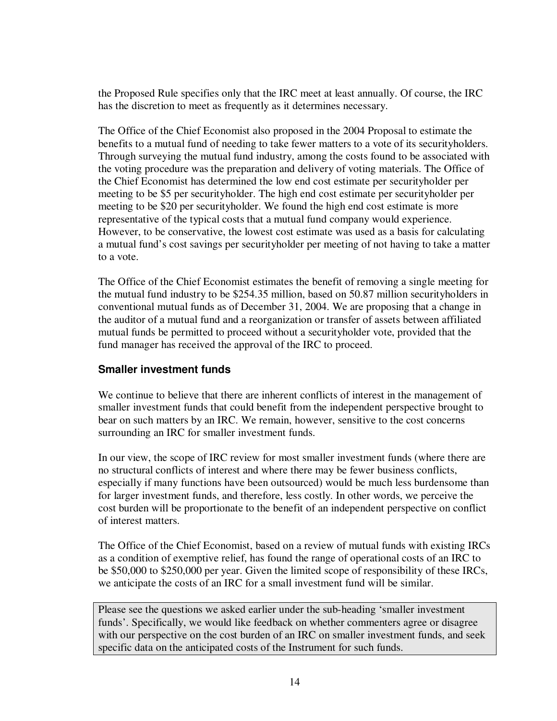the Proposed Rule specifies only that the IRC meet at least annually. Of course, the IRC has the discretion to meet as frequently as it determines necessary.

The Office of the Chief Economist also proposed in the 2004 Proposal to estimate the benefits to a mutual fund of needing to take fewer matters to a vote of its securityholders. Through surveying the mutual fund industry, among the costs found to be associated with the voting procedure was the preparation and delivery of voting materials. The Office of the Chief Economist has determined the low end cost estimate per securityholder per meeting to be \$5 per securityholder. The high end cost estimate per securityholder per meeting to be \$20 per securityholder. We found the high end cost estimate is more representative of the typical costs that a mutual fund company would experience. However, to be conservative, the lowest cost estimate was used as a basis for calculating a mutual fund's cost savings per securityholder per meeting of not having to take a matter to a vote.

The Office of the Chief Economist estimates the benefit of removing a single meeting for the mutual fund industry to be \$254.35 million, based on 50.87 million securityholders in conventional mutual funds as of December 31, 2004. We are proposing that a change in the auditor of a mutual fund and a reorganization or transfer of assets between affiliated mutual funds be permitted to proceed without a securityholder vote, provided that the fund manager has received the approval of the IRC to proceed.

### **Smaller investment funds**

We continue to believe that there are inherent conflicts of interest in the management of smaller investment funds that could benefit from the independent perspective brought to bear on such matters by an IRC. We remain, however, sensitive to the cost concerns surrounding an IRC for smaller investment funds.

In our view, the scope of IRC review for most smaller investment funds (where there are no structural conflicts of interest and where there may be fewer business conflicts, especially if many functions have been outsourced) would be much less burdensome than for larger investment funds, and therefore, less costly. In other words, we perceive the cost burden will be proportionate to the benefit of an independent perspective on conflict of interest matters.

The Office of the Chief Economist, based on a review of mutual funds with existing IRCs as a condition of exemptive relief, has found the range of operational costs of an IRC to be \$50,000 to \$250,000 per year. Given the limited scope of responsibility of these IRCs, we anticipate the costs of an IRC for a small investment fund will be similar.

Please see the questions we asked earlier under the sub-heading 'smaller investment funds'. Specifically, we would like feedback on whether commenters agree or disagree with our perspective on the cost burden of an IRC on smaller investment funds, and seek specific data on the anticipated costs of the Instrument for such funds.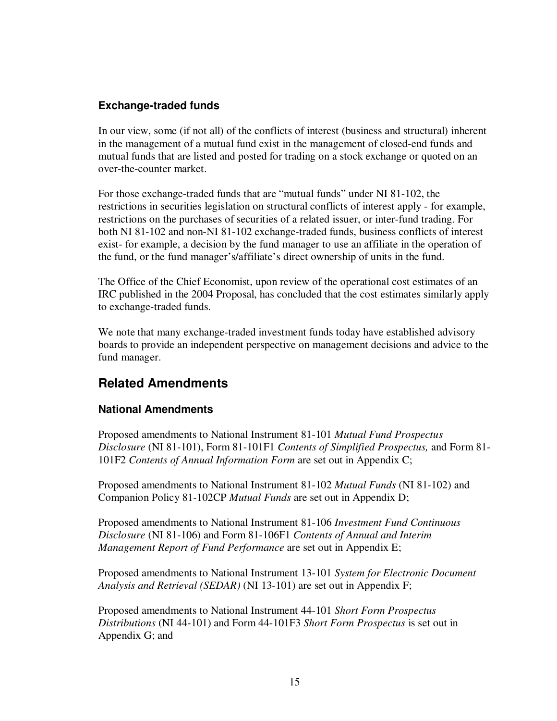### **Exchange-traded funds**

In our view, some (if not all) of the conflicts of interest (business and structural) inherent in the management of a mutual fund exist in the management of closed-end funds and mutual funds that are listed and posted for trading on a stock exchange or quoted on an over-the-counter market.

For those exchange-traded funds that are "mutual funds" under NI 81-102, the restrictions in securities legislation on structural conflicts of interest apply - for example, restrictions on the purchases of securities of a related issuer, or inter-fund trading. For both NI 81-102 and non-NI 81-102 exchange-traded funds, business conflicts of interest exist- for example, a decision by the fund manager to use an affiliate in the operation of the fund, or the fund manager's/affiliate's direct ownership of units in the fund.

The Office of the Chief Economist, upon review of the operational cost estimates of an IRC published in the 2004 Proposal, has concluded that the cost estimates similarly apply to exchange-traded funds.

We note that many exchange-traded investment funds today have established advisory boards to provide an independent perspective on management decisions and advice to the fund manager.

## **Related Amendments**

## **National Amendments**

Proposed amendments to National Instrument 81-101 *Mutual Fund Prospectus Disclosure* (NI 81-101), Form 81-101F1 *Contents of Simplified Prospectus,* and Form 81- 101F2 *Contents of Annual Information Form* are set out in Appendix C;

Proposed amendments to National Instrument 81-102 *Mutual Funds* (NI 81-102) and Companion Policy 81-102CP *Mutual Funds* are set out in Appendix D;

Proposed amendments to National Instrument 81-106 *Investment Fund Continuous Disclosure* (NI 81-106) and Form 81-106F1 *Contents of Annual and Interim Management Report of Fund Performance* are set out in Appendix E;

Proposed amendments to National Instrument 13-101 *System for Electronic Document Analysis and Retrieval (SEDAR)* (NI 13-101) are set out in Appendix F;

Proposed amendments to National Instrument 44-101 *Short Form Prospectus Distributions* (NI 44-101) and Form 44-101F3 *Short Form Prospectus* is set out in Appendix G; and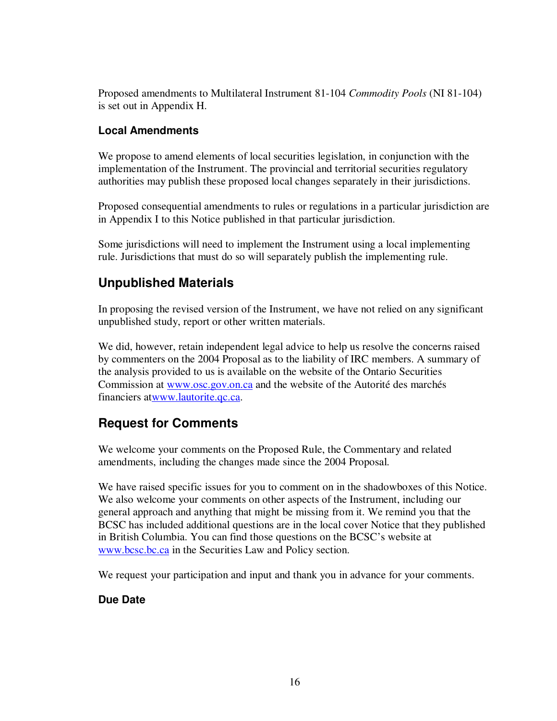Proposed amendments to Multilateral Instrument 81-104 *Commodity Pools* (NI 81-104) is set out in Appendix H.

### **Local Amendments**

We propose to amend elements of local securities legislation, in conjunction with the implementation of the Instrument. The provincial and territorial securities regulatory authorities may publish these proposed local changes separately in their jurisdictions.

Proposed consequential amendments to rules or regulations in a particular jurisdiction are in Appendix I to this Notice published in that particular jurisdiction.

Some jurisdictions will need to implement the Instrument using a local implementing rule. Jurisdictions that must do so will separately publish the implementing rule.

# **Unpublished Materials**

In proposing the revised version of the Instrument, we have not relied on any significant unpublished study, report or other written materials.

We did, however, retain independent legal advice to help us resolve the concerns raised by commenters on the 2004 Proposal as to the liability of IRC members. A summary of the analysis provided to us is available on the website of the Ontario Securities Commission at www.osc.gov.on.ca and the website of the Autorité des marchés financiers atwww.lautorite.qc.ca.

## **Request for Comments**

We welcome your comments on the Proposed Rule, the Commentary and related amendments, including the changes made since the 2004 Proposal.

We have raised specific issues for you to comment on in the shadowboxes of this Notice. We also welcome your comments on other aspects of the Instrument, including our general approach and anything that might be missing from it. We remind you that the BCSC has included additional questions are in the local cover Notice that they published in British Columbia. You can find those questions on the BCSC's website at www.bcsc.bc.ca in the Securities Law and Policy section.

We request your participation and input and thank you in advance for your comments.

## **Due Date**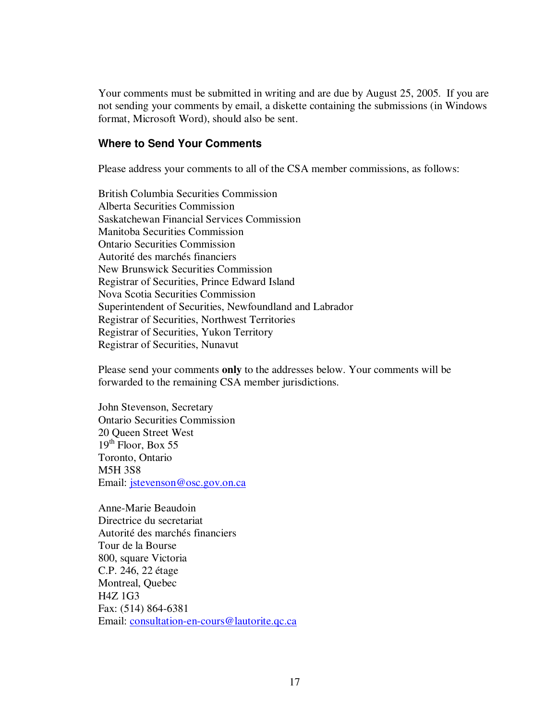Your comments must be submitted in writing and are due by August 25, 2005. If you are not sending your comments by email, a diskette containing the submissions (in Windows format, Microsoft Word), should also be sent.

#### **Where to Send Your Comments**

Please address your comments to all of the CSA member commissions, as follows:

British Columbia Securities Commission Alberta Securities Commission Saskatchewan Financial Services Commission Manitoba Securities Commission Ontario Securities Commission Autorité des marchés financiers New Brunswick Securities Commission Registrar of Securities, Prince Edward Island Nova Scotia Securities Commission Superintendent of Securities, Newfoundland and Labrador Registrar of Securities, Northwest Territories Registrar of Securities, Yukon Territory Registrar of Securities, Nunavut

Please send your comments **only** to the addresses below. Your comments will be forwarded to the remaining CSA member jurisdictions.

John Stevenson, Secretary Ontario Securities Commission 20 Queen Street West 19<sup>th</sup> Floor, Box 55 Toronto, Ontario M5H 3S8 Email: jstevenson@osc.gov.on.ca

Anne-Marie Beaudoin Directrice du secretariat Autorité des marchés financiers Tour de la Bourse 800, square Victoria C.P. 246, 22 étage Montreal, Quebec H4Z 1G3 Fax: (514) 864-6381 Email: consultation-en-cours@lautorite.qc.ca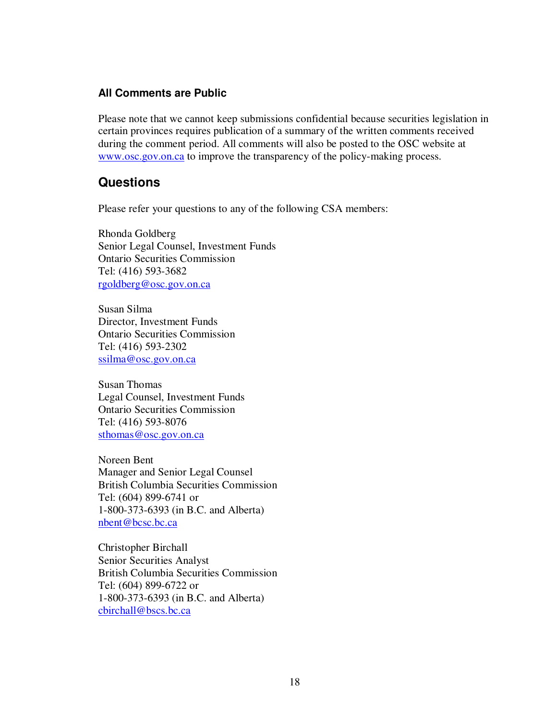#### **All Comments are Public**

Please note that we cannot keep submissions confidential because securities legislation in certain provinces requires publication of a summary of the written comments received during the comment period. All comments will also be posted to the OSC website at www.osc.gov.on.ca to improve the transparency of the policy-making process.

### **Questions**

Please refer your questions to any of the following CSA members:

Rhonda Goldberg Senior Legal Counsel, Investment Funds Ontario Securities Commission Tel: (416) 593-3682 rgoldberg@osc.gov.on.ca

Susan Silma Director, Investment Funds Ontario Securities Commission Tel: (416) 593-2302 ssilma@osc.gov.on.ca

Susan Thomas Legal Counsel, Investment Funds Ontario Securities Commission Tel: (416) 593-8076 sthomas@osc.gov.on.ca

Noreen Bent Manager and Senior Legal Counsel British Columbia Securities Commission Tel: (604) 899-6741 or 1-800-373-6393 (in B.C. and Alberta) nbent@bcsc.bc.ca

Christopher Birchall Senior Securities Analyst British Columbia Securities Commission Tel: (604) 899-6722 or 1-800-373-6393 (in B.C. and Alberta) cbirchall@bscs.bc.ca